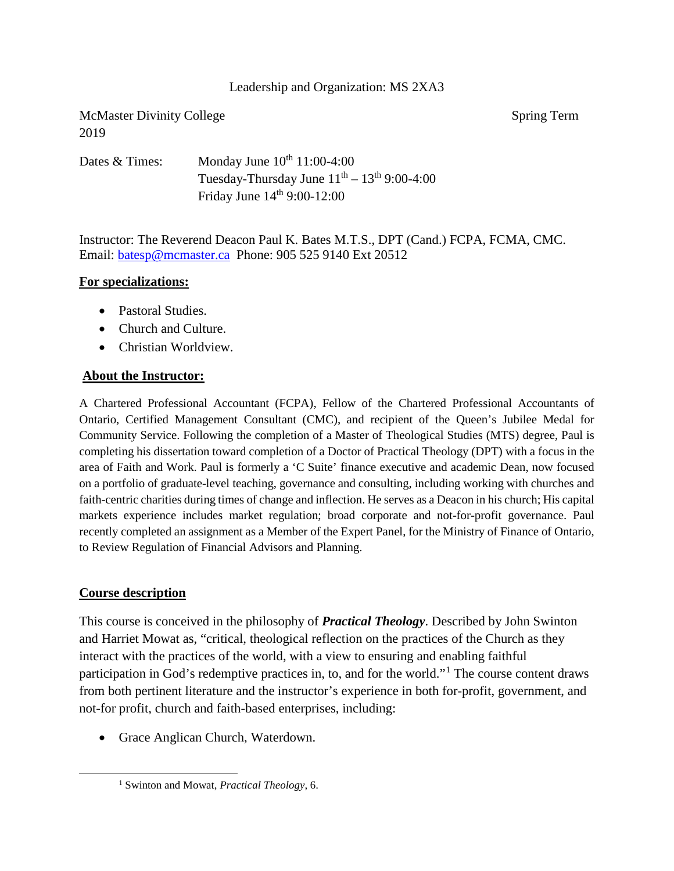### Leadership and Organization: MS 2XA3

McMaster Divinity College Spring Term 2019

Dates & Times: Monday June  $10^{th}$  11:00-4:00 Tuesday-Thursday June  $11<sup>th</sup> - 13<sup>th</sup>$  9:00-4:00 Friday June  $14<sup>th</sup>$  9:00-12:00

Instructor: The Reverend Deacon Paul K. Bates M.T.S., DPT (Cand.) FCPA, FCMA, CMC. Email: [batesp@mcmaster.ca](mailto:batesp@mcmaster.ca) Phone: 905 525 9140 Ext 20512

### **For specializations:**

- Pastoral Studies.
- Church and Culture.
- Christian Worldview.

### **About the Instructor:**

A Chartered Professional Accountant (FCPA), Fellow of the Chartered Professional Accountants of Ontario, Certified Management Consultant (CMC), and recipient of the Queen's Jubilee Medal for Community Service. Following the completion of a Master of Theological Studies (MTS) degree, Paul is completing his dissertation toward completion of a Doctor of Practical Theology (DPT) with a focus in the area of Faith and Work. Paul is formerly a 'C Suite' finance executive and academic Dean, now focused on a portfolio of graduate-level teaching, governance and consulting, including working with churches and faith-centric charities during times of change and inflection. He serves as a Deacon in his church; His capital markets experience includes market regulation; broad corporate and not-for-profit governance. Paul recently completed an assignment as a Member of the Expert Panel, for the Ministry of Finance of Ontario, to Review Regulation of Financial Advisors and Planning.

### **Course description**

<span id="page-0-0"></span> $\overline{a}$ 

This course is conceived in the philosophy of *Practical Theology*. Described by John Swinton and Harriet Mowat as, "critical, theological reflection on the practices of the Church as they interact with the practices of the world, with a view to ensuring and enabling faithful participation in God's redemptive practices in, to, and for the world."[1](#page-0-0) The course content draws from both pertinent literature and the instructor's experience in both for-profit, government, and not-for profit, church and faith-based enterprises, including:

• Grace Anglican Church, Waterdown.

<sup>1</sup> Swinton and Mowat, *Practical Theology*, 6.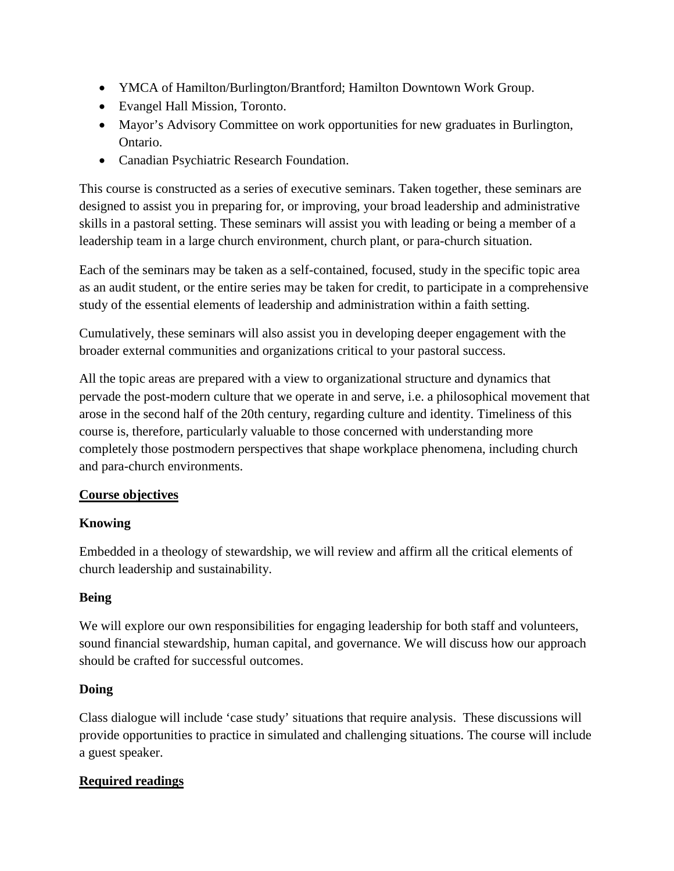- YMCA of Hamilton/Burlington/Brantford; Hamilton Downtown Work Group.
- Evangel Hall Mission, Toronto.
- Mayor's Advisory Committee on work opportunities for new graduates in Burlington, Ontario.
- Canadian Psychiatric Research Foundation.

This course is constructed as a series of executive seminars. Taken together, these seminars are designed to assist you in preparing for, or improving, your broad leadership and administrative skills in a pastoral setting. These seminars will assist you with leading or being a member of a leadership team in a large church environment, church plant, or para-church situation.

Each of the seminars may be taken as a self-contained, focused, study in the specific topic area as an audit student, or the entire series may be taken for credit, to participate in a comprehensive study of the essential elements of leadership and administration within a faith setting.

Cumulatively, these seminars will also assist you in developing deeper engagement with the broader external communities and organizations critical to your pastoral success.

All the topic areas are prepared with a view to organizational structure and dynamics that pervade the post-modern culture that we operate in and serve, i.e. a philosophical movement that arose in the second half of the 20th century, regarding culture and identity. Timeliness of this course is, therefore, particularly valuable to those concerned with understanding more completely those postmodern perspectives that shape workplace phenomena, including church and para-church environments.

# **Course objectives**

# **Knowing**

Embedded in a theology of stewardship, we will review and affirm all the critical elements of church leadership and sustainability.

# **Being**

We will explore our own responsibilities for engaging leadership for both staff and volunteers, sound financial stewardship, human capital, and governance. We will discuss how our approach should be crafted for successful outcomes.

# **Doing**

Class dialogue will include 'case study' situations that require analysis. These discussions will provide opportunities to practice in simulated and challenging situations. The course will include a guest speaker.

# **Required readings**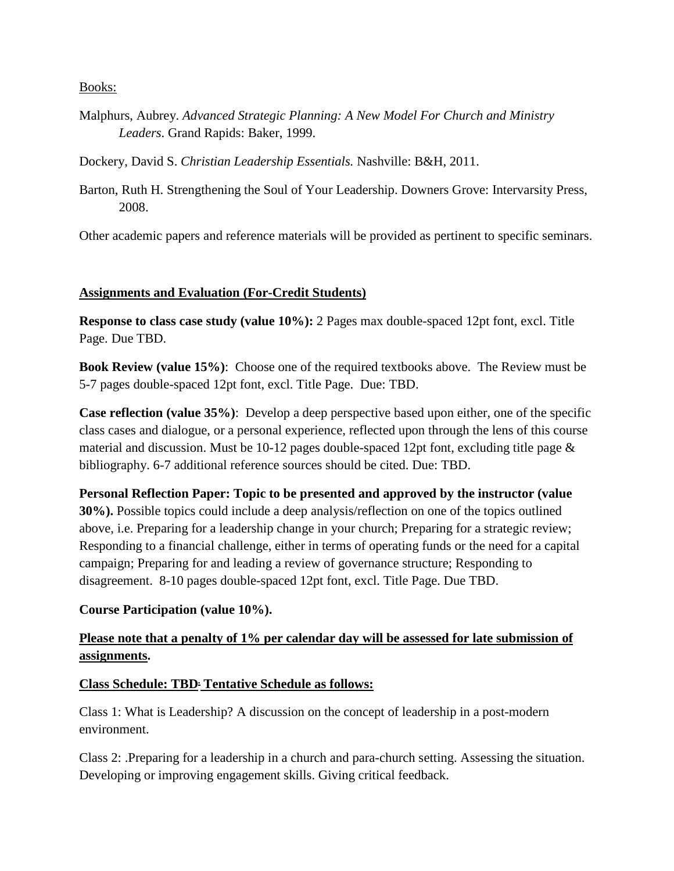Books:

Malphurs, Aubrey. *Advanced Strategic Planning: A New Model For Church and Ministry Leaders*. Grand Rapids: Baker, 1999.

Dockery, David S. *Christian Leadership Essentials.* Nashville: B&H, 2011.

Barton, Ruth H. Strengthening the Soul of Your Leadership. Downers Grove: Intervarsity Press, 2008.

Other academic papers and reference materials will be provided as pertinent to specific seminars.

## **Assignments and Evaluation (For-Credit Students)**

**Response to class case study (value 10%):** 2 Pages max double-spaced 12pt font, excl. Title Page. Due TBD.

**Book Review (value 15%)**: Choose one of the required textbooks above. The Review must be 5-7 pages double-spaced 12pt font, excl. Title Page. Due: TBD.

**Case reflection (value 35%)**: Develop a deep perspective based upon either, one of the specific class cases and dialogue, or a personal experience, reflected upon through the lens of this course material and discussion. Must be 10-12 pages double-spaced 12pt font, excluding title page & bibliography. 6-7 additional reference sources should be cited. Due: TBD.

**Personal Reflection Paper: Topic to be presented and approved by the instructor (value 30%).** Possible topics could include a deep analysis/reflection on one of the topics outlined above, i.e. Preparing for a leadership change in your church; Preparing for a strategic review; Responding to a financial challenge, either in terms of operating funds or the need for a capital campaign; Preparing for and leading a review of governance structure; Responding to disagreement. 8-10 pages double-spaced 12pt font, excl. Title Page. Due TBD.

## **Course Participation (value 10%).**

# **Please note that a penalty of 1% per calendar day will be assessed for late submission of assignments.**

## **Class Schedule: TBD. Tentative Schedule as follows:**

Class 1: What is Leadership? A discussion on the concept of leadership in a post-modern environment.

Class 2: .Preparing for a leadership in a church and para-church setting. Assessing the situation. Developing or improving engagement skills. Giving critical feedback.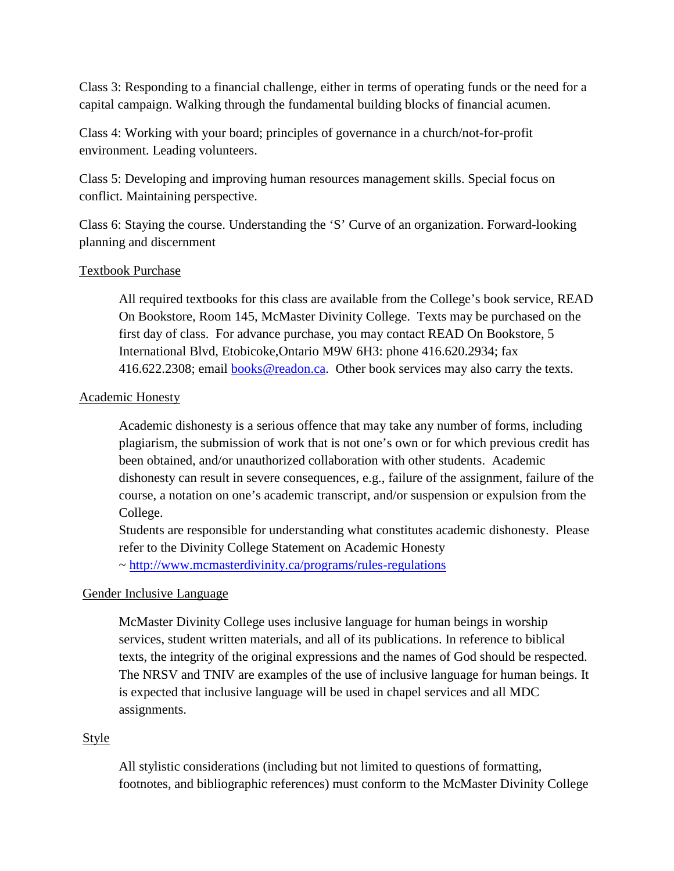Class 3: Responding to a financial challenge, either in terms of operating funds or the need for a capital campaign. Walking through the fundamental building blocks of financial acumen.

Class 4: Working with your board; principles of governance in a church/not-for-profit environment. Leading volunteers.

Class 5: Developing and improving human resources management skills. Special focus on conflict. Maintaining perspective.

Class 6: Staying the course. Understanding the 'S' Curve of an organization. Forward-looking planning and discernment

### Textbook Purchase

All required textbooks for this class are available from the College's book service, READ On Bookstore, Room 145, McMaster Divinity College. Texts may be purchased on the first day of class. For advance purchase, you may contact READ On Bookstore, 5 International Blvd, Etobicoke,Ontario M9W 6H3: phone 416.620.2934; fax 416.622.2308; email [books@readon.ca.](mailto:books@readon.ca) Other book services may also carry the texts.

### Academic Honesty

Academic dishonesty is a serious offence that may take any number of forms, including plagiarism, the submission of work that is not one's own or for which previous credit has been obtained, and/or unauthorized collaboration with other students. Academic dishonesty can result in severe consequences, e.g., failure of the assignment, failure of the course, a notation on one's academic transcript, and/or suspension or expulsion from the College.

Students are responsible for understanding what constitutes academic dishonesty. Please refer to the Divinity College Statement on Academic Honesty ~<http://www.mcmasterdivinity.ca/programs/rules-regulations>

## Gender Inclusive Language

McMaster Divinity College uses inclusive language for human beings in worship services, student written materials, and all of its publications. In reference to biblical texts, the integrity of the original expressions and the names of God should be respected. The NRSV and TNIV are examples of the use of inclusive language for human beings. It is expected that inclusive language will be used in chapel services and all MDC assignments.

## **Style**

All stylistic considerations (including but not limited to questions of formatting, footnotes, and bibliographic references) must conform to the McMaster Divinity College